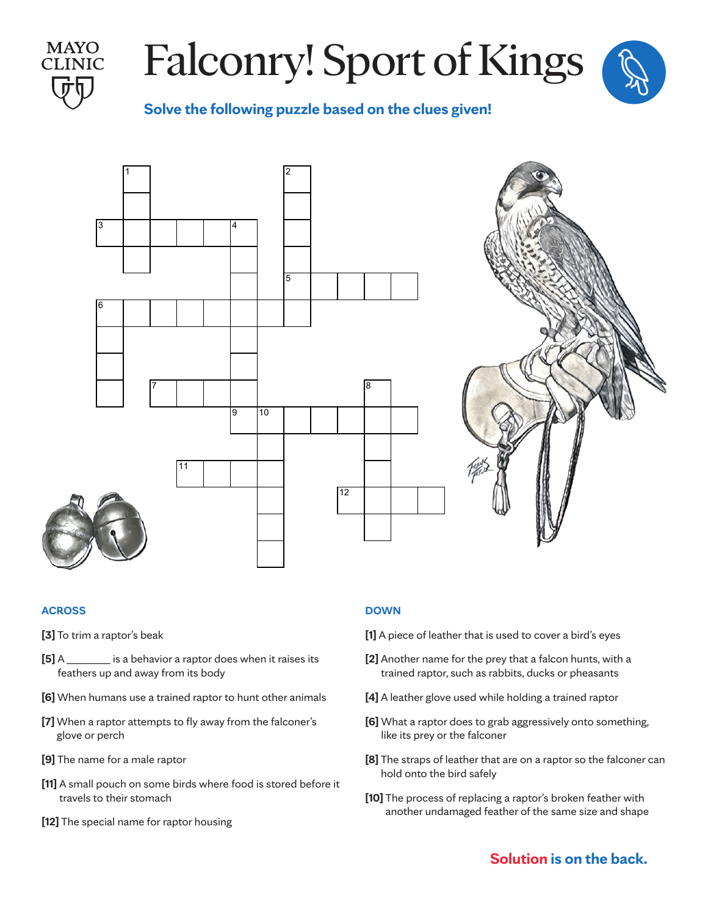

### **Falcomy** Opole Or Falconry! Sport of Kings



Solve the following puzzle based on the clues given! **Solve the following puzzle based on the clues given!**



### **ACROSS**

- **Across Down [3]** To trim a raptor's beak
- $[5]$  A feathers up and away from its body bird's eyes **[5]** A \_\_\_\_\_\_\_\_ is a behavior a raptor does when it raises its
	- **[6]** When humans use a trained raptor to hunt other animals
- $\overline{5}$  When a raptor attempts to the away from **[7]** When a raptor attempts to fly away from the falconer's *[7] when a raptor at the fly away from the fly away from the fly away from the fly away from the fly away from the fly away from the fly away from the fly away from the fly away from the fly away from the fly away from t* glove or perch
- **[9]** The name for a male raptor
- [11] A small pouch on some birds where food is stored before it travels to their stomach
- **[12]** the special name for raptor housing **[12]** The special name for raptor housing

### **DOWN**

- **[1]** A piece of leather that is used to cover a bird's eyes
- raises its **[2]** Another name for the prey that a falcon hunts, with a trained raptor, such as rabbits, ducks or pheasants
- er animals **[4]** A leather glove used while holding a trained raptor
- **[6]** What a raptor does to grab aggressively onto something,<br>
like its name at the felocosy **[6]** what a raptor does to grab aggressively onto like its prey or the falconer
- [8] The straps of leather that are on a raptor so the falconer can hold onto the bird safely
- red before it<br>**[10]** The process of replacing a raptor's broken feather with another undamaged feather of the same size and shape feather with another undamaged feather of the

### **Solution is on the back.**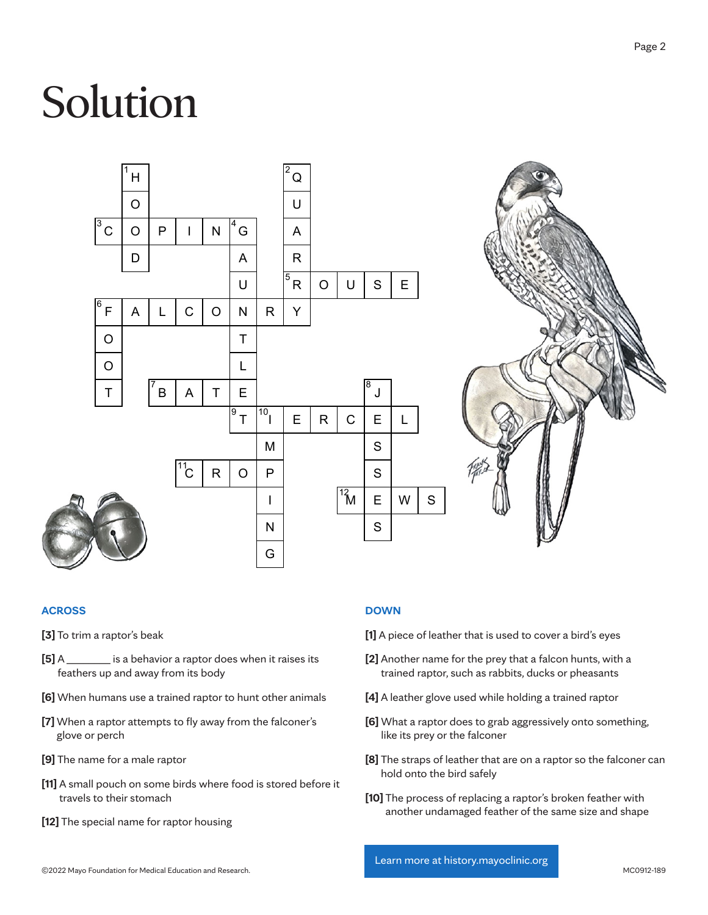# Solution



### **ACROSS**

- **Across Down [3]** To trim a raptor's beak
- $[5]$  A feathers up and away from its body bird's eyes **[5]** A \_\_\_\_\_\_\_\_ is a behavior a raptor does when it raises its
	- **[6]** When humans use a trained raptor to hunt other animals
- $\overline{\text{[7]}}$  When a raptor attempts to fly away from **[7]** When a raptor attempts to fly away from the falconer's glove or perch
- **[9]** The name for a male raptor
- [11] A small pouch on some birds where food is stored before it travels to their stomach
- **[12]** the special name for raptor housing **[12]** The special name for raptor housing

### **DOWN**

- **[1]** A piece of leather that is used to cover a bird's eyes
- raises its **[2]** Another name for the prey that a falcon hunts, with a trained raptor, such as rabbits, ducks or pheasants
- er animals **[4]** A leather glove used while holding a trained raptor
- **EXPLOY** and a raptor does to grap aggreged to hold a trained rapid rapid rapid rapid rapid rapid rapid rapid ra **[6]** What a raptor does to grab aggressively onto something,
- [8] The straps of leather that are on a raptor so the falconer can **Phold onto the bird safely**<br>hold onto the bird safely
- red before it<br>**[10]** The process of replacing a raptor's broken feather with another undamaged feather of the same size and shape feather with another with another under under under the theory of the theory of the theory of the theory of the theory of the theory of the theory of the theory of the theory of the theory of the theory of the theory of th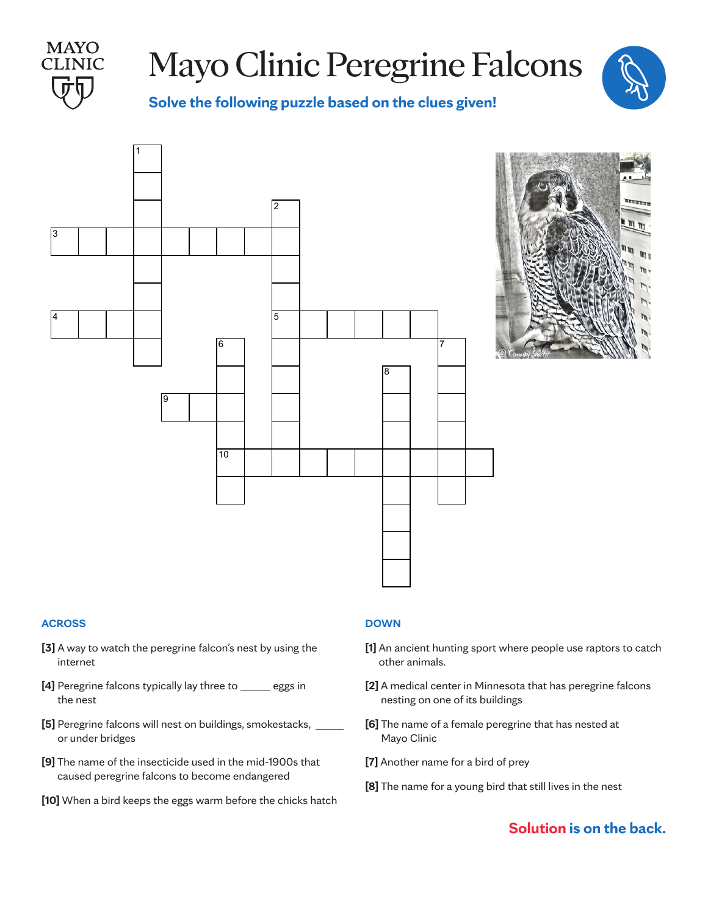

## Mayo Clinic Peregrine Falcons



Solve the following puzzle based on the clues given! **Solve the following puzzle based on the clues given!**



### **ACROSS**

- **[3]** A way to watch the peregrine falcon's nest by using the internet
- [**4]** Peregrine falcons typically lay three to \_\_\_\_\_ eggs in the nest nest peregrine raicons
- **[5]** Peregrine falcons will nest on buildings, smokestacks, or under bridges **[4]** Peregrine falcons typically lay three to [5] Peregrine falcon **[5]** Peregrine falcons will nest on buildings,
- [9] The name of the insecticide used in the mid-1900s that caused peregrine falcons to become endangered
- [10] When a bird keeps the eggs warm before the chicks hatch **[10]** When a bird keeps the eggs warm before the chicks hatch

### **DOWN**

- **[1]** An ancient hunting sport where people use raptors to catch other animals.
- ggs in **[2]** A medical center in Minnesota that has peregrine falcons nesting on one of its buildings  $\mathsf{z}_1$ use raptors to catch other in Minn
- **[6]** The name of a female peregrine that has nested at Mayo Clinic **[2]** A medical center in Minnesota that has stacks, \_\_\_\_\_\_  $\,$  [6] The name of a female peregrine th  $\frac{1}{2}$  The second person of a few persons that  $\frac{1}{2}$
- 00s that **[7]** Another name for a bird of prey
- ea<br>**[8]** The name for a young bird that still lives in the nest

### **Solution is on the back.**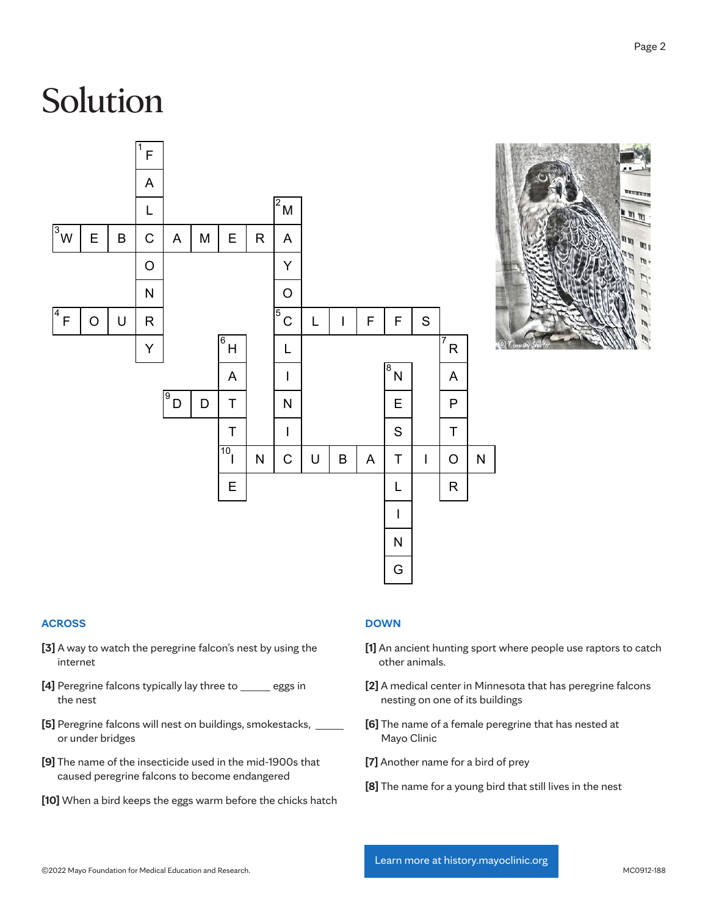## Solution



### **ACROSS**

- [3] A way to watch the peregrine falcon's nest by using the internet
- [4] Peregrine falcons typically lay three to **example 10** eggs in the nest **[3]** A way to watch the peregrine falcon's  $\left[ 4\right]$  Peregrine falcons **EVIDENCE**
- [5] Peregrine falcons will nest on buildings, smokestacks, or under bridges
- [9] The name of the insecticide used in the mid-1900s that caused peregrine falcons to become endangered
- **[10]** When a bird keeps the eggs warm before the chicks hatch [10] When a bird keeps the eggs warm before the chicks hatch

### **DOWN**

- **[1]** An ancient hunting sport where people use raptors to catch other animals.
- **[2]** A medical center in Minnesota that has peregrine falcons nesting on one of its buildings **[1]** An ancient hunting sport where people  $\begin{bmatrix} 2 \end{bmatrix}$  A medical center in Minn
- tacks, **we calce [6]** The name of a female peregrine that has nested at Mayo Clinic **Example 20** The name of a female percent of a female percent of a female percent of  $\frac{1}{2}$
- $20s$  that **[7]** Another name for a bird of prey
- d **[8]** The name for a young bird that still lives in the nest

חם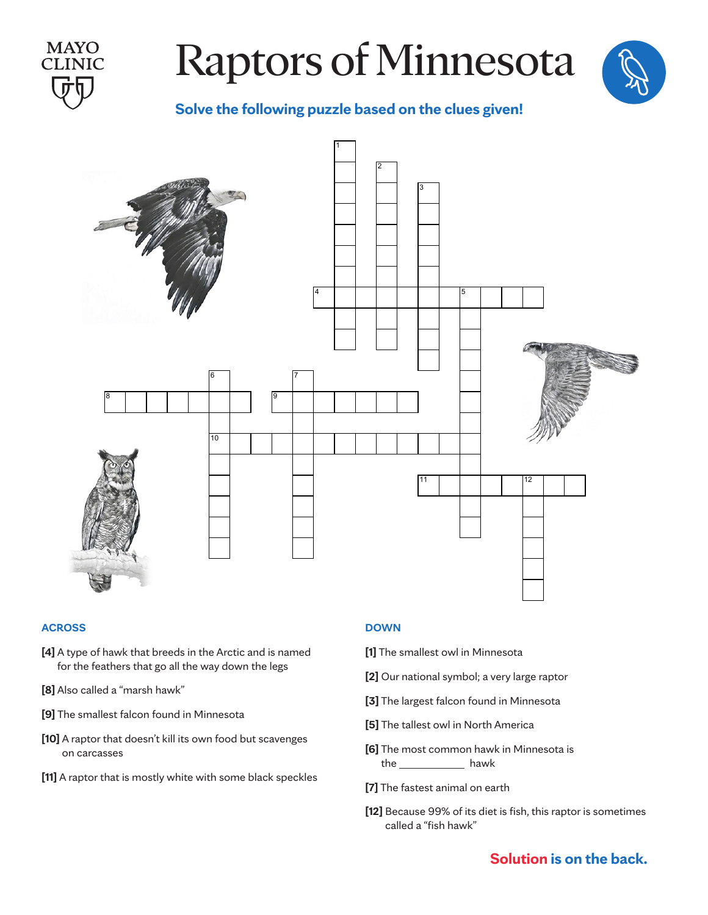

# Raptors of Minnesota



### **Solve the following puzzle based on the clues given!**



### **ACROSS**

- **[4]** A type of hawk that breeds in the Arctic and is named [1] for the feathers that go all the way down the legs
- [8] Also called a "marsh hawk"
- **[9]** The smallest falcon found in Minnesota **[9]** The smallest falcon found in Minnesota
- [10] A raptor that doesn't kill its own food but scavenges on carcasses scavenges on carcasses
- [11] A raptor that is mostly white with some black speckles

### **DOWN**

- **[1]** The smallest owl in Minnesota
- **[2]** Our national symbol; a very large raptor **[2]** Our national symbol; A very large raptor
- **[3]** The largest falcon found in Minnesota **[3]** The largest falcon found in Minnesota
- **[5]** The tallest owl in North America **[5]** The tallest owl in North America **[6]** The tangue own in Frontin Mindrica
- [6] The most common hawk in Minnesota is the **first and the faster and the state and the state of the state of the state of the state of the state of the state of the state of the state of the state of the state of the state of the state of the state of the state**
- [7] The fastest animal on earth
	- **[12]** Because 99% of its diet is fish, this raptor is sometimes called a "fish hawk"

### **Solution is on the back.**